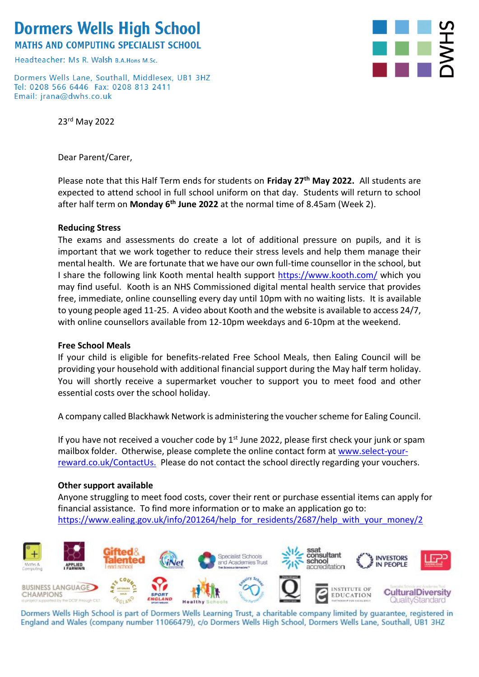## **Dormers Wells High School**

**MATHS AND COMPUTING SPECIALIST SCHOOL** 

Headteacher: Ms R, Walsh B A Hons M Sc

Dormers Wells Lane, Southall, Middlesex, UB1 3HZ Tel: 0208 566 6446 Fax: 0208 813 2411 Email: jrana@dwhs.co.uk

23rd May 2022

Dear Parent/Carer,



Please note that this Half Term ends for students on **Friday 27th May 2022.** All students are expected to attend school in full school uniform on that day. Students will return to school after half term on Monday 6<sup>th</sup> June 2022 at the normal time of 8.45am (Week 2).

### **Reducing Stress**

The exams and assessments do create a lot of additional pressure on pupils, and it is important that we work together to reduce their stress levels and help them manage their mental health. We are fortunate that we have our own full-time counsellor in the school, but I share the following link Kooth mental health support<https://www.kooth.com/> which you may find useful. Kooth is an NHS Commissioned digital mental health service that provides free, immediate, online counselling every day until 10pm with no waiting lists. It is available to young people aged 11-25. A video about Kooth and the website is available to access 24/7, with online counsellors available from 12-10pm weekdays and 6-10pm at the weekend.

#### **Free School Meals**

If your child is eligible for benefits-related Free School Meals, then Ealing Council will be providing your household with additional financial support during the May half term holiday. You will shortly receive a supermarket voucher to support you to meet food and other essential costs over the school holiday.

A company called Blackhawk Network is administering the voucher scheme for Ealing Council.

If you have not received a voucher code by 1<sup>st</sup> June 2022, please first check your junk or spam mailbox folder. Otherwise, please complete the online contact form at [www.select-your](http://www.select-your-reward.co.uk/ContactUs)[reward.co.uk/ContactUs.](http://www.select-your-reward.co.uk/ContactUs) Please do not contact the school directly regarding your vouchers.

#### **Other support available**

Anyone struggling to meet food costs, cover their rent or purchase essential items can apply for financial assistance. To find more information or to make an application go to: [https://www.ealing.gov.uk/info/201264/help\\_for\\_residents/2687/help\\_with\\_your\\_money/2](https://www.ealing.gov.uk/info/201264/help_for_residents/2687/help_with_your_money/2)



Dormers Wells High School is part of Dormers Wells Learning Trust, a charitable company limited by guarantee, registered in England and Wales (company number 11066479), c/o Dormers Wells High School, Dormers Wells Lane, Southall, UB1 3HZ